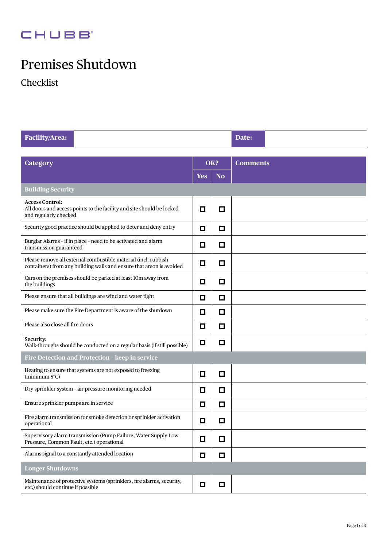## **CHUBB**

# Premises Shutdown

Checklist

| Facility/Area:                                                                                                                         |            |           | Date:           |  |  |  |  |  |
|----------------------------------------------------------------------------------------------------------------------------------------|------------|-----------|-----------------|--|--|--|--|--|
|                                                                                                                                        |            |           |                 |  |  |  |  |  |
| <b>Category</b>                                                                                                                        | OK?        |           | <b>Comments</b> |  |  |  |  |  |
|                                                                                                                                        | <b>Yes</b> | <b>No</b> |                 |  |  |  |  |  |
| <b>Building Security</b>                                                                                                               |            |           |                 |  |  |  |  |  |
| <b>Access Control:</b><br>All doors and access points to the facility and site should be locked<br>and regularly checked               | 0          | О         |                 |  |  |  |  |  |
| Security good practice should be applied to deter and deny entry                                                                       | О          | ◘         |                 |  |  |  |  |  |
| Burglar Alarms - if in place - need to be activated and alarm<br>transmission guaranteed                                               | ◘          | ◘         |                 |  |  |  |  |  |
| Please remove all external combustible material (incl. rubbish<br>containers) from any building walls and ensure that arson is avoided | О          | О         |                 |  |  |  |  |  |
| Cars on the premises should be parked at least 10m away from<br>the buildings                                                          | ◘          | $\Box$    |                 |  |  |  |  |  |
| Please ensure that all buildings are wind and water tight                                                                              | О          | О         |                 |  |  |  |  |  |
| Please make sure the Fire Department is aware of the shutdown                                                                          | О          | 口         |                 |  |  |  |  |  |
| Please also close all fire doors                                                                                                       | 口          | 口         |                 |  |  |  |  |  |
| Security:<br>Walk-throughs should be conducted on a regular basis (if still possible)                                                  | ◘          | ◘         |                 |  |  |  |  |  |
| Fire Detection and Protection - keep in service                                                                                        |            |           |                 |  |  |  |  |  |
| Heating to ensure that systems are not exposed to freezing<br>(minimum $5^{\circ}$ C)                                                  | ◻          | $\Box$    |                 |  |  |  |  |  |
| Dry sprinkler system - air pressure monitoring needed                                                                                  | О          | ◘         |                 |  |  |  |  |  |
| Ensure sprinkler pumps are in service                                                                                                  | О          | $\Box$    |                 |  |  |  |  |  |
| Fire alarm transmission for smoke detection or sprinkler activation<br>operational                                                     | О          | П         |                 |  |  |  |  |  |
| Supervisory alarm transmission (Pump Failure, Water Supply Low<br>Pressure, Common Fault, etc.) operational                            | ◘          | $\Box$    |                 |  |  |  |  |  |
| Alarms signal to a constantly attended location                                                                                        | ◘          | $\Box$    |                 |  |  |  |  |  |
| Longer Shutdowns                                                                                                                       |            |           |                 |  |  |  |  |  |
| Maintenance of protective systems (sprinklers, fire alarms, security,<br>etc.) should continue if possible                             | □          | $\Box$    |                 |  |  |  |  |  |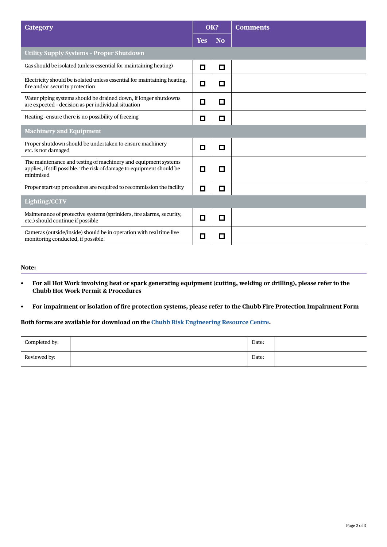| <b>Category</b>                                                                                                                                      | OK?        |           |  |  | <b>Comments</b> |
|------------------------------------------------------------------------------------------------------------------------------------------------------|------------|-----------|--|--|-----------------|
|                                                                                                                                                      | <b>Yes</b> | <b>No</b> |  |  |                 |
| <b>Utility Supply Systems - Proper Shutdown</b>                                                                                                      |            |           |  |  |                 |
| Gas should be isolated (unless essential for maintaining heating)                                                                                    | О          | □         |  |  |                 |
| Electricity should be isolated unless essential for maintaining heating,<br>fire and/or security protection                                          | ◘          | О         |  |  |                 |
| Water piping systems should be drained down, if longer shutdowns<br>are expected - decision as per individual situation                              | О          | О         |  |  |                 |
| Heating -ensure there is no possibility of freezing                                                                                                  | О          | О         |  |  |                 |
| <b>Machinery and Equipment</b>                                                                                                                       |            |           |  |  |                 |
| Proper shutdown should be undertaken to ensure machinery<br>etc. is not damaged                                                                      | О          | □         |  |  |                 |
| The maintenance and testing of machinery and equipment systems<br>applies, if still possible. The risk of damage to equipment should be<br>minimised | П          | О         |  |  |                 |
| Proper start-up procedures are required to recommission the facility                                                                                 | □          | О         |  |  |                 |
| <b>Lighting/CCTV</b>                                                                                                                                 |            |           |  |  |                 |
| Maintenance of protective systems (sprinklers, fire alarms, security,<br>etc.) should continue if possible                                           | П          | О         |  |  |                 |
| Cameras (outside/inside) should be in operation with real time live<br>monitoring conducted, if possible.                                            | О          | О         |  |  |                 |

#### **Note:**

- **• For all Hot Work involving heat or spark generating equipment (cutting, welding or drilling), please refer to the Chubb Hot Work Permit & Procedures**
- **• For impairment or isolation of fire protection systems, please refer to the Chubb Fire Protection Impairment Form**

### **Both forms are available for download on the [Chubb Risk Engineering Resource Centre.](https://www.chubb.com/au-en/business/risk-engineering-resource-centre.aspx)**

| Completed by: | Date: |  |
|---------------|-------|--|
| Reviewed by:  | Date: |  |